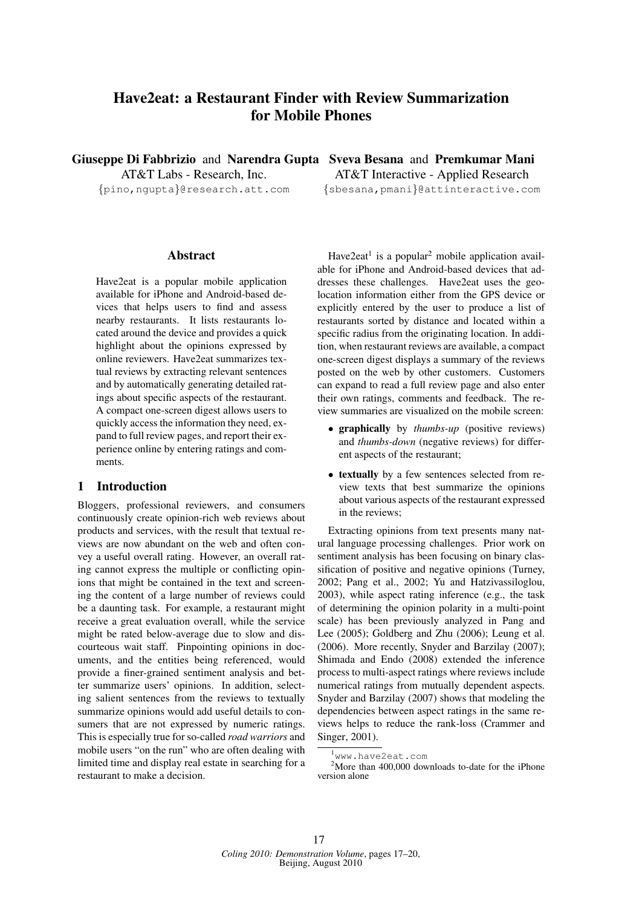# Have2eat: a Restaurant Finder with Review Summarization for Mobile Phones

AT&T Labs - Research, Inc.

# Abstract

Have2eat is a popular mobile application available for iPhone and Android-based devices that helps users to find and assess nearby restaurants. It lists restaurants located around the device and provides a quick highlight about the opinions expressed by online reviewers. Have2eat summarizes textual reviews by extracting relevant sentences and by automatically generating detailed ratings about specific aspects of the restaurant. A compact one-screen digest allows users to quickly access the information they need, expand to full review pages, and report their experience online by entering ratings and comments.

#### 1 Introduction

Bloggers, professional reviewers, and consumers continuously create opinion-rich web reviews about products and services, with the result that textual reviews are now abundant on the web and often convey a useful overall rating. However, an overall rating cannot express the multiple or conflicting opinions that might be contained in the text and screening the content of a large number of reviews could be a daunting task. For example, a restaurant might receive a great evaluation overall, while the service might be rated below-average due to slow and discourteous wait staff. Pinpointing opinions in documents, and the entities being referenced, would provide a finer-grained sentiment analysis and better summarize users' opinions. In addition, selecting salient sentences from the reviews to textually summarize opinions would add useful details to consumers that are not expressed by numeric ratings. This is especially true for so-called *road warriors* and mobile users "on the run" who are often dealing with limited time and display real estate in searching for a restaurant to make a decision.

Giuseppe Di Fabbrizio and Narendra Gupta Sveva Besana and Premkumar Mani {pino,ngupta}@research.att.com {sbesana,pmani}@attinteractive.com AT&T Interactive - Applied Research

> Have $2$ eat<sup>1</sup> is a popular<sup>2</sup> mobile application available for iPhone and Android-based devices that addresses these challenges. Have2eat uses the geolocation information either from the GPS device or explicitly entered by the user to produce a list of restaurants sorted by distance and located within a specific radius from the originating location. In addition, when restaurant reviews are available, a compact one-screen digest displays a summary of the reviews posted on the web by other customers. Customers can expand to read a full review page and also enter their own ratings, comments and feedback. The review summaries are visualized on the mobile screen:

- graphically by *thumbs-up* (positive reviews) and *thumbs-down* (negative reviews) for different aspects of the restaurant;
- textually by a few sentences selected from review texts that best summarize the opinions about various aspects of the restaurant expressed in the reviews;

Extracting opinions from text presents many natural language processing challenges. Prior work on sentiment analysis has been focusing on binary classification of positive and negative opinions (Turney, 2002; Pang et al., 2002; Yu and Hatzivassiloglou, 2003), while aspect rating inference (e.g., the task of determining the opinion polarity in a multi-point scale) has been previously analyzed in Pang and Lee (2005); Goldberg and Zhu (2006); Leung et al. (2006). More recently, Snyder and Barzilay (2007); Shimada and Endo (2008) extended the inference process to multi-aspect ratings where reviews include numerical ratings from mutually dependent aspects. Snyder and Barzilay (2007) shows that modeling the dependencies between aspect ratings in the same reviews helps to reduce the rank-loss (Crammer and Singer, 2001).

<sup>1</sup>www.have2eat.com

 $2^2$ More than 400,000 downloads to-date for the iPhone version alone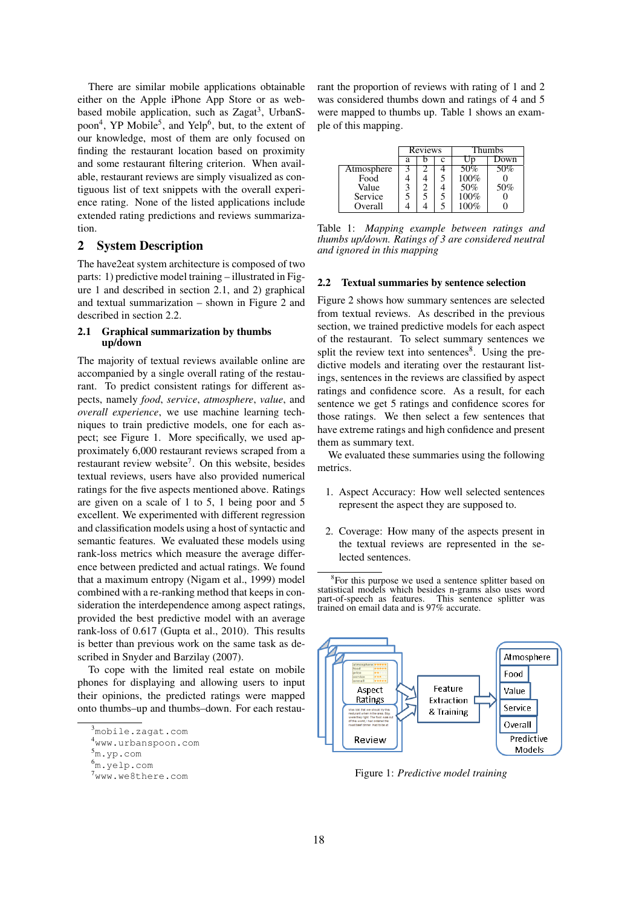There are similar mobile applications obtainable either on the Apple iPhone App Store or as webbased mobile application, such as Zagat<sup>3</sup>, UrbanSpoon<sup>4</sup>, YP Mobile<sup>5</sup>, and Yelp<sup>6</sup>, but, to the extent of our knowledge, most of them are only focused on finding the restaurant location based on proximity and some restaurant filtering criterion. When available, restaurant reviews are simply visualized as contiguous list of text snippets with the overall experience rating. None of the listed applications include extended rating predictions and reviews summarization.

# 2 System Description

The have2eat system architecture is composed of two parts: 1) predictive model training – illustrated in Figure 1 and described in section 2.1, and 2) graphical and textual summarization – shown in Figure 2 and described in section 2.2.

#### 2.1 Graphical summarization by thumbs up/down

The majority of textual reviews available online are accompanied by a single overall rating of the restaurant. To predict consistent ratings for different aspects, namely *food*, *service*, *atmosphere*, *value*, and *overall experience*, we use machine learning techniques to train predictive models, one for each aspect; see Figure 1. More specifically, we used approximately 6,000 restaurant reviews scraped from a restaurant review website<sup>7</sup>. On this website, besides textual reviews, users have also provided numerical ratings for the five aspects mentioned above. Ratings are given on a scale of 1 to 5, 1 being poor and 5 excellent. We experimented with different regression and classification models using a host of syntactic and semantic features. We evaluated these models using rank-loss metrics which measure the average difference between predicted and actual ratings. We found that a maximum entropy (Nigam et al., 1999) model combined with a re-ranking method that keeps in consideration the interdependence among aspect ratings, provided the best predictive model with an average rank-loss of 0.617 (Gupta et al., 2010). This results is better than previous work on the same task as described in Snyder and Barzilay (2007).

To cope with the limited real estate on mobile phones for displaying and allowing users to input their opinions, the predicted ratings were mapped onto thumbs–up and thumbs–down. For each restaurant the proportion of reviews with rating of 1 and 2 was considered thumbs down and ratings of 4 and 5 were mapped to thumbs up. Table 1 shows an example of this mapping.

|            | <b>Reviews</b> |  |   | <b>Thumbs</b> |      |
|------------|----------------|--|---|---------------|------|
|            | a              |  | C |               | Down |
| Atmosphere |                |  |   | 50%           | 50%  |
| Food       |                |  |   | 100%          |      |
| Value      | 3              |  |   | 50%           | 50%  |
| Service    |                |  |   | 100%          |      |
| Overall    |                |  |   | 100%          |      |

Table 1: *Mapping example between ratings and thumbs up/down. Ratings of 3 are considered neutral and ignored in this mapping*

#### 2.2 Textual summaries by sentence selection

Figure 2 shows how summary sentences are selected from textual reviews. As described in the previous section, we trained predictive models for each aspect of the restaurant. To select summary sentences we split the review text into sentences<sup>8</sup>. Using the predictive models and iterating over the restaurant listings, sentences in the reviews are classified by aspect ratings and confidence score. As a result, for each sentence we get 5 ratings and confidence scores for those ratings. We then select a few sentences that have extreme ratings and high confidence and present them as summary text.

We evaluated these summaries using the following metrics.

- 1. Aspect Accuracy: How well selected sentences represent the aspect they are supposed to.
- 2. Coverage: How many of the aspects present in the textual reviews are represented in the selected sentences.

<sup>&</sup>lt;sup>8</sup>For this purpose we used a sentence splitter based on statistical models which besides n-grams also uses word part-of-speech as features. This sentence splitter was trained on email data and is 97% accurate.



Figure 1: *Predictive model training*

<sup>3</sup>mobile.zagat.com

<sup>4</sup>www.urbanspoon.com

<sup>5</sup>m.yp.com

<sup>6</sup>m.yelp.com

<sup>7</sup>www.we8there.com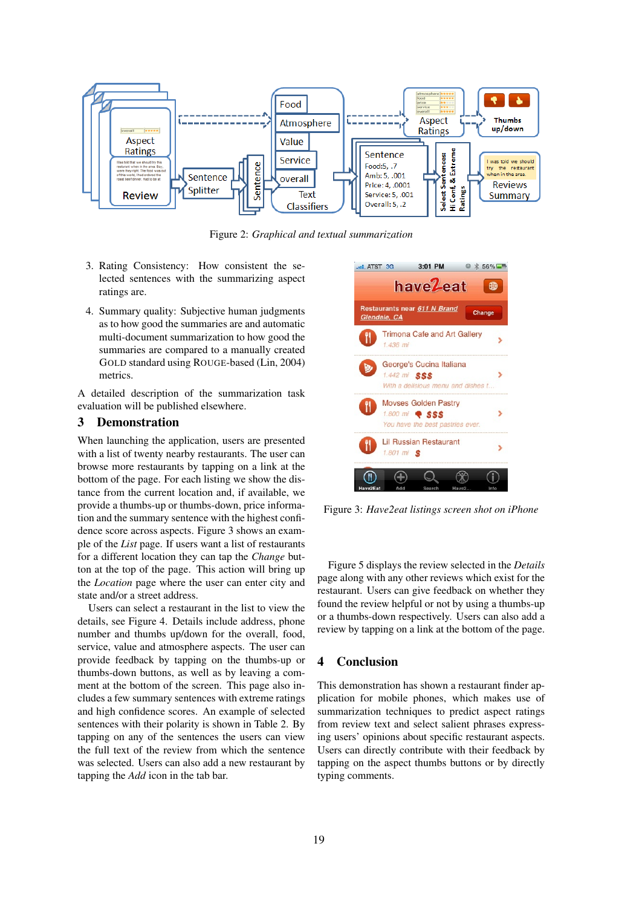

Figure 2: *Graphical and textual summarization*

- 3. Rating Consistency: How consistent the selected sentences with the summarizing aspect ratings are.
- 4. Summary quality: Subjective human judgments as to how good the summaries are and automatic multi-document summarization to how good the summaries are compared to a manually created GOLD standard using ROUGE-based (Lin, 2004) metrics.

A detailed description of the summarization task evaluation will be published elsewhere.

# 3 Demonstration

When launching the application, users are presented with a list of twenty nearby restaurants. The user can browse more restaurants by tapping on a link at the bottom of the page. For each listing we show the distance from the current location and, if available, we provide a thumbs-up or thumbs-down, price information and the summary sentence with the highest confidence score across aspects. Figure 3 shows an example of the *List* page. If users want a list of restaurants for a different location they can tap the *Change* button at the top of the page. This action will bring up the *Location* page where the user can enter city and state and/or a street address.

Users can select a restaurant in the list to view the details, see Figure 4. Details include address, phone number and thumbs up/down for the overall, food, service, value and atmosphere aspects. The user can provide feedback by tapping on the thumbs-up or thumbs-down buttons, as well as by leaving a comment at the bottom of the screen. This page also includes a few summary sentences with extreme ratings and high confidence scores. An example of selected sentences with their polarity is shown in Table 2. By tapping on any of the sentences the users can view the full text of the review from which the sentence was selected. Users can also add a new restaurant by tapping the *Add* icon in the tab bar.



Figure 3: *Have2eat listings screen shot on iPhone*

Figure 5 displays the review selected in the *Details* page along with any other reviews which exist for the restaurant. Users can give feedback on whether they found the review helpful or not by using a thumbs-up or a thumbs-down respectively. Users can also add a review by tapping on a link at the bottom of the page.

### 4 Conclusion

This demonstration has shown a restaurant finder application for mobile phones, which makes use of summarization techniques to predict aspect ratings from review text and select salient phrases expressing users' opinions about specific restaurant aspects. Users can directly contribute with their feedback by tapping on the aspect thumbs buttons or by directly typing comments.